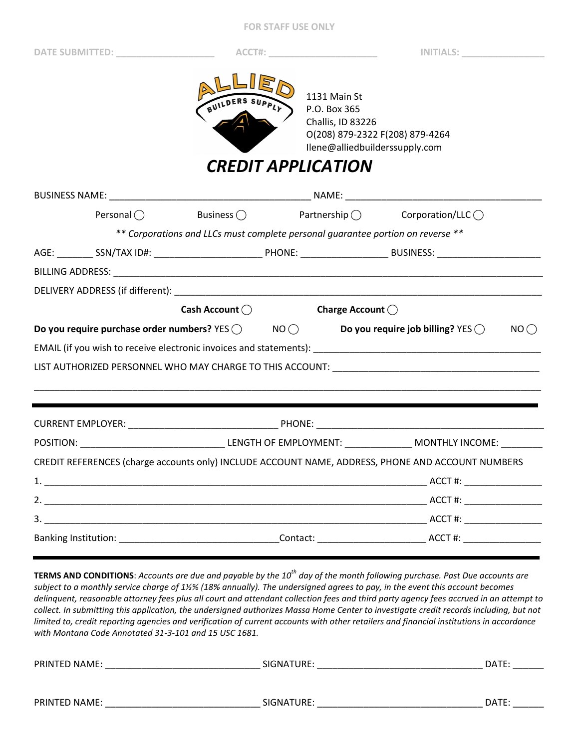**FOR STAFF USE ONLY** 

**DATE SUBMITTED: \_\_\_\_\_\_\_\_\_\_\_\_\_\_\_\_\_\_\_ ACCT#: \_\_\_\_\_\_\_\_\_\_\_\_\_\_\_\_\_\_\_\_\_ INITIALS: \_\_\_\_\_\_\_\_\_\_\_\_\_\_\_\_** 



1131 Main St P.O. Box 365 Challis, ID 83226 O(208) 879-2322 F(208) 879-4264 Ilene@alliedbuilderssupply.com

*CREDIT APPLICATION* 

|                                                                                                                | Personal $\bigcap$                                                              | Business $\bigcirc$     |  |                  | $\mathsf{Partnership} \bigcirc$ Corporation/LLC $\bigcirc$                                        |      |  |  |
|----------------------------------------------------------------------------------------------------------------|---------------------------------------------------------------------------------|-------------------------|--|------------------|---------------------------------------------------------------------------------------------------|------|--|--|
|                                                                                                                | ** Corporations and LLCs must complete personal guarantee portion on reverse ** |                         |  |                  |                                                                                                   |      |  |  |
|                                                                                                                |                                                                                 |                         |  |                  |                                                                                                   |      |  |  |
|                                                                                                                |                                                                                 |                         |  |                  |                                                                                                   |      |  |  |
|                                                                                                                |                                                                                 |                         |  |                  |                                                                                                   |      |  |  |
|                                                                                                                |                                                                                 | Cash Account $\bigcirc$ |  | Charge Account ( |                                                                                                   |      |  |  |
| Do you require purchase order numbers? YES $\bigcirc$ NO $\bigcirc$ Do you require job billing? YES $\bigcirc$ |                                                                                 |                         |  |                  |                                                                                                   | NO() |  |  |
|                                                                                                                |                                                                                 |                         |  |                  |                                                                                                   |      |  |  |
|                                                                                                                |                                                                                 |                         |  |                  |                                                                                                   |      |  |  |
|                                                                                                                |                                                                                 |                         |  |                  |                                                                                                   |      |  |  |
|                                                                                                                |                                                                                 |                         |  |                  |                                                                                                   |      |  |  |
|                                                                                                                |                                                                                 |                         |  |                  |                                                                                                   |      |  |  |
|                                                                                                                |                                                                                 |                         |  |                  |                                                                                                   |      |  |  |
|                                                                                                                |                                                                                 |                         |  |                  | CREDIT REFERENCES (charge accounts only) INCLUDE ACCOUNT NAME, ADDRESS, PHONE AND ACCOUNT NUMBERS |      |  |  |
|                                                                                                                |                                                                                 |                         |  |                  |                                                                                                   |      |  |  |
|                                                                                                                |                                                                                 |                         |  |                  |                                                                                                   |      |  |  |
|                                                                                                                |                                                                                 |                         |  |                  |                                                                                                   |      |  |  |
|                                                                                                                |                                                                                 |                         |  |                  |                                                                                                   |      |  |  |
|                                                                                                                |                                                                                 |                         |  |                  |                                                                                                   |      |  |  |

**TERMS AND CONDITIONS**: *Accounts are due and payable by the 10th day of the month following purchase. Past Due accounts are subject to a monthly service charge of 1.75% (21% annually). The undersigned agrees to pay, in the event this account becomes delinquent, reasonable attorney fees plus all court and attendant collection fees and third party agency fees accrued in an attempt to collect. In submitting this application, the undersigned authorizes Allied Builders Supply to investigate credit records including, but not limited to, credit reporting agencies and verification of current accounts with other retailers and financial institutions in accordance with Idaho Code Annotated 28-52-105 and 15 USC 1681.* 

| <b>PRINTED NAME:</b> | SIGNATURE: | DATE: |
|----------------------|------------|-------|
|                      |            |       |
|                      |            |       |
| <b>PRINTED NAME:</b> | SIGNATURE: | DATE: |